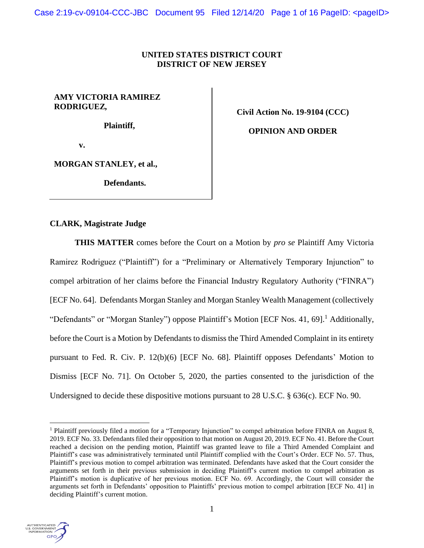Case 2:19-cv-09104-CCC-JBC Document 95 Filed 12/14/20 Page 1 of 16 PageID: <pageID>

# **UNITED STATES DISTRICT COURT DISTRICT OF NEW JERSEY**

# **AMY VICTORIA RAMIREZ RODRIGUEZ***,*

**Plaintiff,**

**Civil Action No. 19-9104 (CCC)**

**OPINION AND ORDER**

**v.**

**MORGAN STANLEY, et al.,**

**Defendants.**

# **CLARK, Magistrate Judge**

**THIS MATTER** comes before the Court on a Motion by *pro se* Plaintiff Amy Victoria Ramirez Rodriguez ("Plaintiff") for a "Preliminary or Alternatively Temporary Injunction" to compel arbitration of her claims before the Financial Industry Regulatory Authority ("FINRA") [ECF No. 64]. Defendants Morgan Stanley and Morgan Stanley Wealth Management (collectively "Defendants" or "Morgan Stanley") oppose Plaintiff's Motion [ECF Nos. 41, 69].<sup>1</sup> Additionally, before the Court is a Motion by Defendants to dismiss the Third Amended Complaint in its entirety pursuant to Fed. R. Civ. P. 12(b)(6) [ECF No. 68]. Plaintiff opposes Defendants' Motion to Dismiss [ECF No. 71]. On October 5, 2020, the parties consented to the jurisdiction of the Undersigned to decide these dispositive motions pursuant to 28 U.S.C. § 636(c). ECF No. 90.

<sup>1</sup> Plaintiff previously filed a motion for a "Temporary Injunction" to compel arbitration before FINRA on August 8, 2019. ECF No. 33. Defendants filed their opposition to that motion on August 20, 2019. ECF No. 41. Before the Court reached a decision on the pending motion, Plaintiff was granted leave to file a Third Amended Complaint and Plaintiff's case was administratively terminated until Plaintiff complied with the Court's Order. ECF No. 57. Thus, Plaintiff's previous motion to compel arbitration was terminated. Defendants have asked that the Court consider the arguments set forth in their previous submission in deciding Plaintiff's current motion to compel arbitration as Plaintiff's motion is duplicative of her previous motion. ECF No. 69. Accordingly, the Court will consider the arguments set forth in Defendants' opposition to Plaintiffs' previous motion to compel arbitration [ECF No. 41] in deciding Plaintiff's current motion.

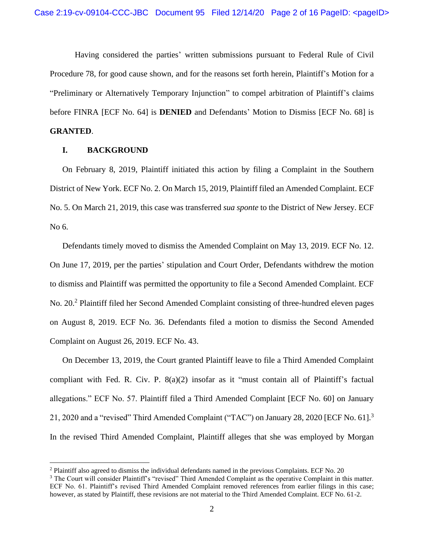Having considered the parties' written submissions pursuant to Federal Rule of Civil Procedure 78, for good cause shown, and for the reasons set forth herein, Plaintiff's Motion for a "Preliminary or Alternatively Temporary Injunction" to compel arbitration of Plaintiff's claims before FINRA [ECF No. 64] is **DENIED** and Defendants' Motion to Dismiss [ECF No. 68] is **GRANTED**.

# **I. BACKGROUND**

On February 8, 2019, Plaintiff initiated this action by filing a Complaint in the Southern District of New York. ECF No. 2. On March 15, 2019, Plaintiff filed an Amended Complaint. ECF No. 5. On March 21, 2019, this case was transferred *sua sponte* to the District of New Jersey. ECF No 6.

Defendants timely moved to dismiss the Amended Complaint on May 13, 2019. ECF No. 12. On June 17, 2019, per the parties' stipulation and Court Order, Defendants withdrew the motion to dismiss and Plaintiff was permitted the opportunity to file a Second Amended Complaint. ECF No. 20.<sup>2</sup> Plaintiff filed her Second Amended Complaint consisting of three-hundred eleven pages on August 8, 2019. ECF No. 36. Defendants filed a motion to dismiss the Second Amended Complaint on August 26, 2019. ECF No. 43.

On December 13, 2019, the Court granted Plaintiff leave to file a Third Amended Complaint compliant with Fed. R. Civ. P. 8(a)(2) insofar as it "must contain all of Plaintiff's factual allegations." ECF No. 57. Plaintiff filed a Third Amended Complaint [ECF No. 60] on January 21, 2020 and a "revised" Third Amended Complaint ("TAC") on January 28, 2020 [ECF No. 61].<sup>3</sup> In the revised Third Amended Complaint, Plaintiff alleges that she was employed by Morgan

<sup>&</sup>lt;sup>2</sup> Plaintiff also agreed to dismiss the individual defendants named in the previous Complaints. ECF No. 20

<sup>&</sup>lt;sup>3</sup> The Court will consider Plaintiff's "revised" Third Amended Complaint as the operative Complaint in this matter. ECF No. 61. Plaintiff's revised Third Amended Complaint removed references from earlier filings in this case; however, as stated by Plaintiff, these revisions are not material to the Third Amended Complaint. ECF No. 61-2.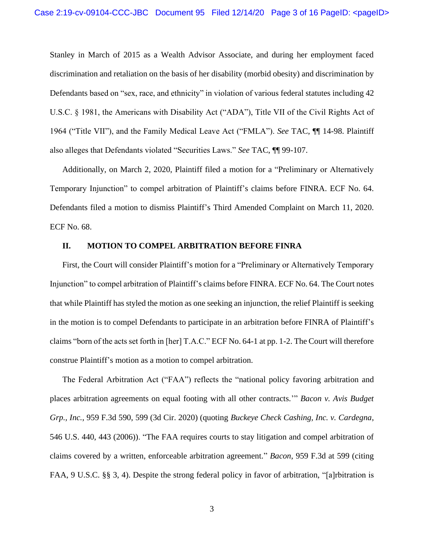Stanley in March of 2015 as a Wealth Advisor Associate, and during her employment faced discrimination and retaliation on the basis of her disability (morbid obesity) and discrimination by Defendants based on "sex, race, and ethnicity" in violation of various federal statutes including 42 U.S.C. § 1981, the Americans with Disability Act ("ADA"), Title VII of the Civil Rights Act of 1964 ("Title VII"), and the Family Medical Leave Act ("FMLA"). *See* TAC, ¶¶ 14-98. Plaintiff also alleges that Defendants violated "Securities Laws." *See* TAC, ¶¶ 99-107.

Additionally, on March 2, 2020, Plaintiff filed a motion for a "Preliminary or Alternatively Temporary Injunction" to compel arbitration of Plaintiff's claims before FINRA. ECF No. 64. Defendants filed a motion to dismiss Plaintiff's Third Amended Complaint on March 11, 2020. ECF No. 68.

### **II. MOTION TO COMPEL ARBITRATION BEFORE FINRA**

First, the Court will consider Plaintiff's motion for a "Preliminary or Alternatively Temporary Injunction" to compel arbitration of Plaintiff's claims before FINRA. ECF No. 64. The Court notes that while Plaintiff has styled the motion as one seeking an injunction, the relief Plaintiff is seeking in the motion is to compel Defendants to participate in an arbitration before FINRA of Plaintiff's claims "born of the acts set forth in [her] T.A.C." ECF No. 64-1 at pp. 1-2. The Court will therefore construe Plaintiff's motion as a motion to compel arbitration.

The Federal Arbitration Act ("FAA") reflects the "national policy favoring arbitration and places arbitration agreements on equal footing with all other contracts.'" *Bacon v. Avis Budget Grp., Inc.*, 959 F.3d 590, 599 (3d Cir. 2020) (quoting *Buckeye Check Cashing, Inc. v. Cardegna*, 546 U.S. 440, 443 (2006)). "The FAA requires courts to stay litigation and compel arbitration of claims covered by a written, enforceable arbitration agreement." *Bacon*, 959 F.3d at 599 (citing FAA, 9 U.S.C. §§ 3, 4). Despite the strong federal policy in favor of arbitration, "[a]rbitration is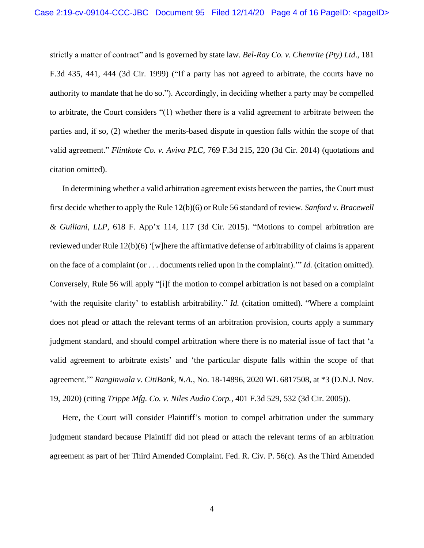strictly a matter of contract" and is governed by state law. *Bel-Ray Co. v. Chemrite (Pty) Ltd*., 181 F.3d 435, 441, 444 (3d Cir. 1999) ("If a party has not agreed to arbitrate, the courts have no authority to mandate that he do so."). Accordingly, in deciding whether a party may be compelled to arbitrate, the Court considers "(1) whether there is a valid agreement to arbitrate between the parties and, if so, (2) whether the merits-based dispute in question falls within the scope of that valid agreement." *Flintkote Co. v. Aviva PLC*, 769 F.3d 215, 220 (3d Cir. 2014) (quotations and citation omitted).

In determining whether a valid arbitration agreement exists between the parties, the Court must first decide whether to apply the Rule 12(b)(6) or Rule 56 standard of review. *Sanford v. Bracewell & Guiliani, LLP*, 618 F. App'x 114, 117 (3d Cir. 2015). "Motions to compel arbitration are reviewed under Rule 12(b)(6) '[w]here the affirmative defense of arbitrability of claims is apparent on the face of a complaint (or . . . documents relied upon in the complaint).'" *Id.* (citation omitted). Conversely, Rule 56 will apply "[i]f the motion to compel arbitration is not based on a complaint 'with the requisite clarity' to establish arbitrability." *Id.* (citation omitted). "Where a complaint does not plead or attach the relevant terms of an arbitration provision, courts apply a summary judgment standard, and should compel arbitration where there is no material issue of fact that 'a valid agreement to arbitrate exists' and 'the particular dispute falls within the scope of that agreement.'" *Ranginwala v. CitiBank, N.A.*, No. 18-14896, 2020 WL 6817508, at \*3 (D.N.J. Nov. 19, 2020) (citing *Trippe Mfg. Co. v. Niles Audio Corp.*, 401 F.3d 529, 532 (3d Cir. 2005)).

Here, the Court will consider Plaintiff's motion to compel arbitration under the summary judgment standard because Plaintiff did not plead or attach the relevant terms of an arbitration agreement as part of her Third Amended Complaint. Fed. R. Civ. P. 56(c). As the Third Amended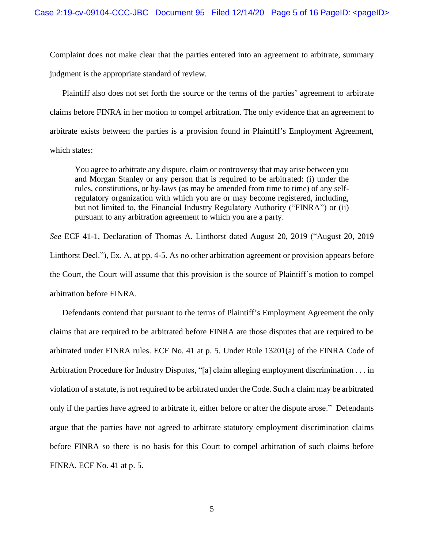Complaint does not make clear that the parties entered into an agreement to arbitrate, summary judgment is the appropriate standard of review.

Plaintiff also does not set forth the source or the terms of the parties' agreement to arbitrate claims before FINRA in her motion to compel arbitration. The only evidence that an agreement to arbitrate exists between the parties is a provision found in Plaintiff's Employment Agreement, which states:

You agree to arbitrate any dispute, claim or controversy that may arise between you and Morgan Stanley or any person that is required to be arbitrated: (i) under the rules, constitutions, or by-laws (as may be amended from time to time) of any selfregulatory organization with which you are or may become registered, including, but not limited to, the Financial Industry Regulatory Authority ("FINRA") or (ii) pursuant to any arbitration agreement to which you are a party.

*See* ECF 41-1, Declaration of Thomas A. Linthorst dated August 20, 2019 ("August 20, 2019 Linthorst Decl."), Ex. A, at pp. 4-5. As no other arbitration agreement or provision appears before the Court, the Court will assume that this provision is the source of Plaintiff's motion to compel arbitration before FINRA.

Defendants contend that pursuant to the terms of Plaintiff's Employment Agreement the only claims that are required to be arbitrated before FINRA are those disputes that are required to be arbitrated under FINRA rules. ECF No. 41 at p. 5. Under Rule 13201(a) of the FINRA Code of Arbitration Procedure for Industry Disputes, "[a] claim alleging employment discrimination . . . in violation of a statute, is not required to be arbitrated under the Code. Such a claim may be arbitrated only if the parties have agreed to arbitrate it, either before or after the dispute arose." Defendants argue that the parties have not agreed to arbitrate statutory employment discrimination claims before FINRA so there is no basis for this Court to compel arbitration of such claims before FINRA. ECF No. 41 at p. 5.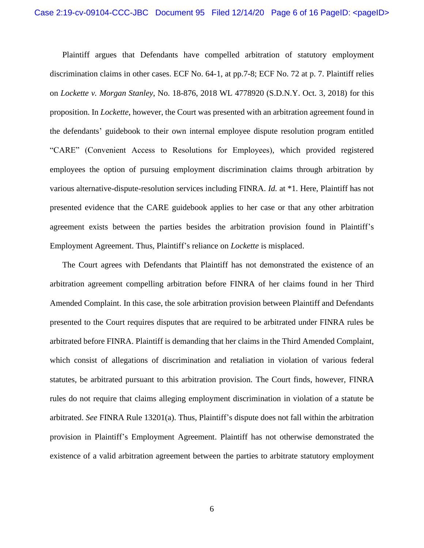Plaintiff argues that Defendants have compelled arbitration of statutory employment discrimination claims in other cases. ECF No. 64-1, at pp.7-8; ECF No. 72 at p. 7. Plaintiff relies on *Lockette v. Morgan Stanley*, No. 18-876, 2018 WL 4778920 (S.D.N.Y. Oct. 3, 2018) for this proposition. In *Lockette*, however, the Court was presented with an arbitration agreement found in the defendants' guidebook to their own internal employee dispute resolution program entitled "CARE" (Convenient Access to Resolutions for Employees), which provided registered employees the option of pursuing employment discrimination claims through arbitration by various alternative-dispute-resolution services including FINRA. *Id.* at \*1. Here, Plaintiff has not presented evidence that the CARE guidebook applies to her case or that any other arbitration agreement exists between the parties besides the arbitration provision found in Plaintiff's Employment Agreement. Thus, Plaintiff's reliance on *Lockette* is misplaced.

The Court agrees with Defendants that Plaintiff has not demonstrated the existence of an arbitration agreement compelling arbitration before FINRA of her claims found in her Third Amended Complaint. In this case, the sole arbitration provision between Plaintiff and Defendants presented to the Court requires disputes that are required to be arbitrated under FINRA rules be arbitrated before FINRA. Plaintiff is demanding that her claims in the Third Amended Complaint, which consist of allegations of discrimination and retaliation in violation of various federal statutes, be arbitrated pursuant to this arbitration provision. The Court finds, however, FINRA rules do not require that claims alleging employment discrimination in violation of a statute be arbitrated. *See* FINRA Rule 13201(a). Thus, Plaintiff's dispute does not fall within the arbitration provision in Plaintiff's Employment Agreement. Plaintiff has not otherwise demonstrated the existence of a valid arbitration agreement between the parties to arbitrate statutory employment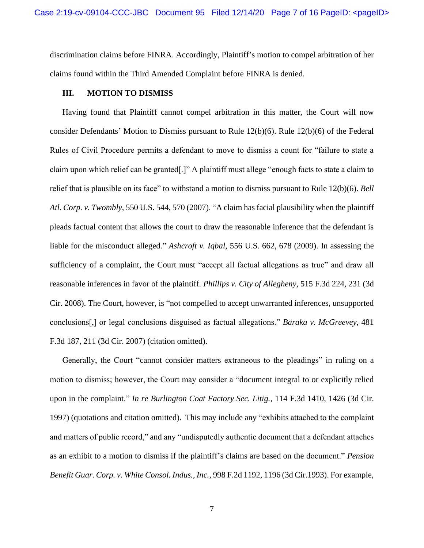discrimination claims before FINRA. Accordingly, Plaintiff's motion to compel arbitration of her claims found within the Third Amended Complaint before FINRA is denied.

### **III. MOTION TO DISMISS**

Having found that Plaintiff cannot compel arbitration in this matter, the Court will now consider Defendants' Motion to Dismiss pursuant to Rule 12(b)(6). Rule 12(b)(6) of the Federal Rules of Civil Procedure permits a defendant to move to dismiss a count for "failure to state a claim upon which relief can be granted[.]" A plaintiff must allege "enough facts to state a claim to relief that is plausible on its face" to withstand a motion to dismiss pursuant to Rule 12(b)(6). *Bell Atl. Corp. v. Twombly*, 550 U.S. 544, 570 (2007). "A claim has facial plausibility when the plaintiff pleads factual content that allows the court to draw the reasonable inference that the defendant is liable for the misconduct alleged." *Ashcroft v. Iqbal*, 556 U.S. 662, 678 (2009). In assessing the sufficiency of a complaint, the Court must "accept all factual allegations as true" and draw all reasonable inferences in favor of the plaintiff. *Phillips v. City of Allegheny*, 515 F.3d 224, 231 (3d Cir. 2008). The Court, however, is "not compelled to accept unwarranted inferences, unsupported conclusions[,] or legal conclusions disguised as factual allegations." *Baraka v. McGreevey*, 481 F.3d 187, 211 (3d Cir. 2007) (citation omitted).

Generally, the Court "cannot consider matters extraneous to the pleadings" in ruling on a motion to dismiss; however, the Court may consider a "document integral to or explicitly relied upon in the complaint." *In re Burlington Coat Factory Sec. Litig.*, 114 F.3d 1410, 1426 (3d Cir. 1997) (quotations and citation omitted). This may include any "exhibits attached to the complaint and matters of public record," and any "undisputedly authentic document that a defendant attaches as an exhibit to a motion to dismiss if the plaintiff's claims are based on the document." *Pension Benefit Guar. Corp. v. White Consol. Indus., Inc.*, 998 F.2d 1192, 1196 (3d Cir.1993). For example,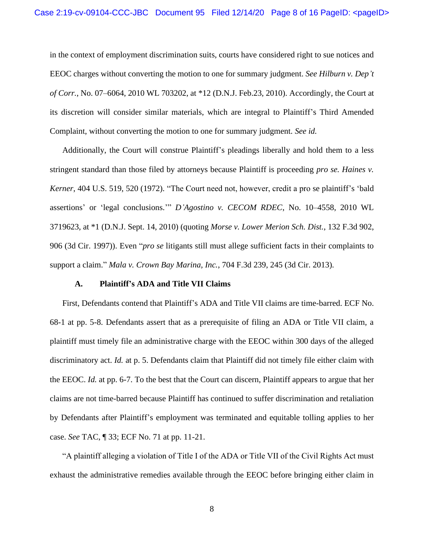in the context of employment discrimination suits, courts have considered right to sue notices and EEOC charges without converting the motion to one for summary judgment. *See Hilburn v. Dep't of Corr.*, No. 07–6064, 2010 WL 703202, at \*12 (D.N.J. Feb.23, 2010). Accordingly, the Court at its discretion will consider similar materials, which are integral to Plaintiff's Third Amended Complaint, without converting the motion to one for summary judgment. *See id.* 

Additionally, the Court will construe Plaintiff's pleadings liberally and hold them to a less stringent standard than those filed by attorneys because Plaintiff is proceeding *pro se. Haines v. Kerner*, 404 U.S. 519, 520 (1972). "The Court need not, however, credit a pro se plaintiff's 'bald assertions' or 'legal conclusions.'" *D'Agostino v. CECOM RDEC*, No. 10–4558, 2010 WL 3719623, at \*1 (D.N.J. Sept. 14, 2010) (quoting *Morse v. Lower Merion Sch. Dist.*, 132 F.3d 902, 906 (3d Cir. 1997)). Even "*pro se* litigants still must allege sufficient facts in their complaints to support a claim." *Mala v. Crown Bay Marina, Inc.*, 704 F.3d 239, 245 (3d Cir. 2013).

#### **A. Plaintiff's ADA and Title VII Claims**

First, Defendants contend that Plaintiff's ADA and Title VII claims are time-barred. ECF No. 68-1 at pp. 5-8. Defendants assert that as a prerequisite of filing an ADA or Title VII claim, a plaintiff must timely file an administrative charge with the EEOC within 300 days of the alleged discriminatory act. *Id.* at p. 5. Defendants claim that Plaintiff did not timely file either claim with the EEOC. *Id.* at pp. 6-7. To the best that the Court can discern, Plaintiff appears to argue that her claims are not time-barred because Plaintiff has continued to suffer discrimination and retaliation by Defendants after Plaintiff's employment was terminated and equitable tolling applies to her case. *See* TAC, ¶ 33; ECF No. 71 at pp. 11-21.

"A plaintiff alleging a violation of Title I of the ADA or Title VII of the Civil Rights Act must exhaust the administrative remedies available through the EEOC before bringing either claim in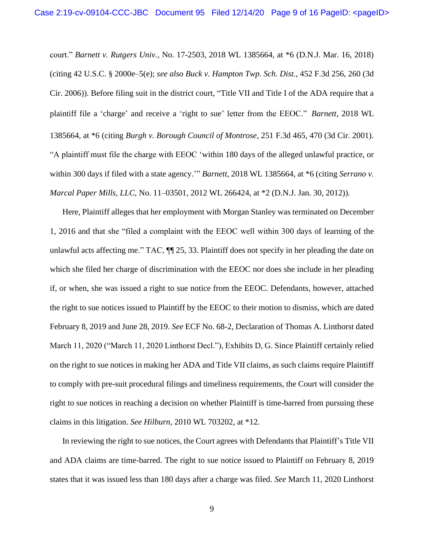court." *Barnett v. Rutgers Univ.*, No. 17-2503, 2018 WL 1385664, at \*6 (D.N.J. Mar. 16, 2018) (citing 42 U.S.C. § 2000e–5(e); *see also Buck v. Hampton Twp. Sch. Dist.*, 452 F.3d 256, 260 (3d Cir. 2006)). Before filing suit in the district court, "Title VII and Title I of the ADA require that a plaintiff file a 'charge' and receive a 'right to sue' letter from the EEOC." *Barnett*, 2018 WL 1385664, at \*6 (citing *Burgh v. Borough Council of Montrose*, 251 F.3d 465, 470 (3d Cir. 2001). "A plaintiff must file the charge with EEOC 'within 180 days of the alleged unlawful practice, or within 300 days if filed with a state agency.'" *Barnett*, 2018 WL 1385664, at \*6 (citing *Serrano v. Marcal Paper Mills, LLC*, No. 11–03501, 2012 WL 266424, at \*2 (D.N.J. Jan. 30, 2012)).

Here, Plaintiff alleges that her employment with Morgan Stanley was terminated on December 1, 2016 and that she "filed a complaint with the EEOC well within 300 days of learning of the unlawful acts affecting me." TAC, ¶¶ 25, 33. Plaintiff does not specify in her pleading the date on which she filed her charge of discrimination with the EEOC nor does she include in her pleading if, or when, she was issued a right to sue notice from the EEOC. Defendants, however, attached the right to sue notices issued to Plaintiff by the EEOC to their motion to dismiss, which are dated February 8, 2019 and June 28, 2019. *See* ECF No. 68-2, Declaration of Thomas A. Linthorst dated March 11, 2020 ("March 11, 2020 Linthorst Decl."), Exhibits D, G. Since Plaintiff certainly relied on the right to sue notices in making her ADA and Title VII claims, as such claims require Plaintiff to comply with pre-suit procedural filings and timeliness requirements, the Court will consider the right to sue notices in reaching a decision on whether Plaintiff is time-barred from pursuing these claims in this litigation. *See Hilburn*, 2010 WL 703202, at \*12.

In reviewing the right to sue notices, the Court agrees with Defendants that Plaintiff's Title VII and ADA claims are time-barred. The right to sue notice issued to Plaintiff on February 8, 2019 states that it was issued less than 180 days after a charge was filed. *See* March 11, 2020 Linthorst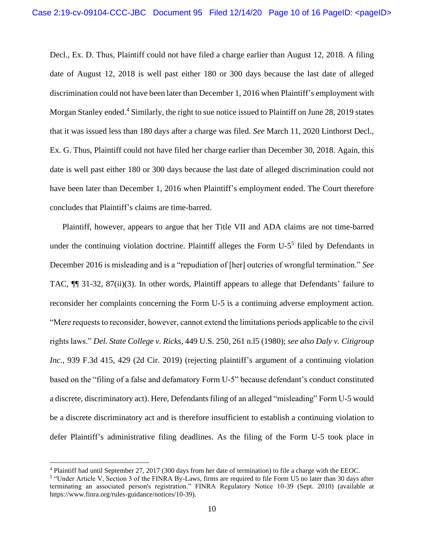Decl., Ex. D. Thus, Plaintiff could not have filed a charge earlier than August 12, 2018. A filing date of August 12, 2018 is well past either 180 or 300 days because the last date of alleged discrimination could not have been later than December 1, 2016 when Plaintiff's employment with Morgan Stanley ended.<sup>4</sup> Similarly, the right to sue notice issued to Plaintiff on June 28, 2019 states that it was issued less than 180 days after a charge was filed. *See* March 11, 2020 Linthorst Decl., Ex. G. Thus, Plaintiff could not have filed her charge earlier than December 30, 2018. Again, this date is well past either 180 or 300 days because the last date of alleged discrimination could not have been later than December 1, 2016 when Plaintiff's employment ended. The Court therefore concludes that Plaintiff's claims are time-barred.

Plaintiff, however, appears to argue that her Title VII and ADA claims are not time-barred under the continuing violation doctrine. Plaintiff alleges the Form U-5<sup>5</sup> filed by Defendants in December 2016 is misleading and is a "repudiation of [her] outcries of wrongful termination." *See*  TAC, ¶¶ 31-32, 87(ii)(3). In other words, Plaintiff appears to allege that Defendants' failure to reconsider her complaints concerning the Form U-5 is a continuing adverse employment action. "Mere requests to reconsider, however, cannot extend the limitations periods applicable to the civil rights laws." *Del. State College v. Ricks*, 449 U.S. 250, 261 n.l5 (1980); *see also Daly v. Citigroup Inc.*, 939 F.3d 415, 429 (2d Cir. 2019) (rejecting plaintiff's argument of a continuing violation based on the "filing of a false and defamatory Form U-5" because defendant's conduct constituted a discrete, discriminatory act). Here, Defendants filing of an alleged "misleading" Form U-5 would be a discrete discriminatory act and is therefore insufficient to establish a continuing violation to defer Plaintiff's administrative filing deadlines. As the filing of the Form U-5 took place in

<sup>4</sup> Plaintiff had until September 27, 2017 (300 days from her date of termination) to file a charge with the EEOC.

<sup>&</sup>lt;sup>5</sup> "Under Article V, Section 3 of the FINRA By-Laws, firms are required to file Form U5 no later than 30 days after terminating an associated person's registration." FINRA Regulatory Notice 10-39 (Sept. 2010) (available at https://www.finra.org/rules-guidance/notices/10-39).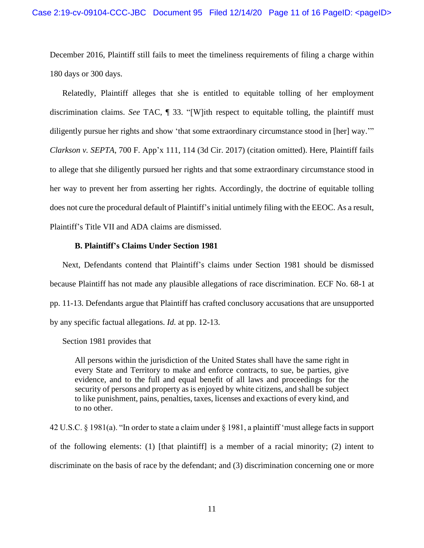December 2016, Plaintiff still fails to meet the timeliness requirements of filing a charge within 180 days or 300 days.

Relatedly, Plaintiff alleges that she is entitled to equitable tolling of her employment discrimination claims. *See* TAC, ¶ 33. "[W]ith respect to equitable tolling, the plaintiff must diligently pursue her rights and show 'that some extraordinary circumstance stood in [her] way.'" *Clarkson v. SEPTA*, 700 F. App'x 111, 114 (3d Cir. 2017) (citation omitted). Here, Plaintiff fails to allege that she diligently pursued her rights and that some extraordinary circumstance stood in her way to prevent her from asserting her rights. Accordingly, the doctrine of equitable tolling does not cure the procedural default of Plaintiff's initial untimely filing with the EEOC. As a result, Plaintiff's Title VII and ADA claims are dismissed.

### **B. Plaintiff's Claims Under Section 1981**

Next, Defendants contend that Plaintiff's claims under Section 1981 should be dismissed because Plaintiff has not made any plausible allegations of race discrimination. ECF No. 68-1 at pp. 11-13. Defendants argue that Plaintiff has crafted conclusory accusations that are unsupported by any specific factual allegations. *Id.* at pp. 12-13.

Section 1981 provides that

All persons within the jurisdiction of the United States shall have the same right in every State and Territory to make and enforce contracts, to sue, be parties, give evidence, and to the full and equal benefit of all laws and proceedings for the security of persons and property as is enjoyed by white citizens, and shall be subject to like punishment, pains, penalties, taxes, licenses and exactions of every kind, and to no other.

42 U.S.C. § 1981(a). "In order to state a claim under § 1981, a plaintiff 'must allege facts in support of the following elements: (1) [that plaintiff] is a member of a racial minority; (2) intent to discriminate on the basis of race by the defendant; and (3) discrimination concerning one or more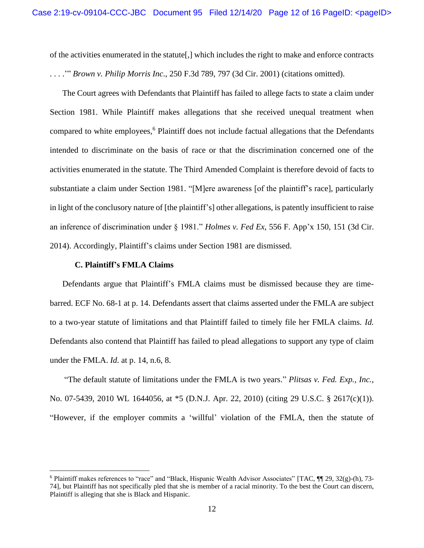of the activities enumerated in the statute[,] which includes the right to make and enforce contracts . . . .'" *Brown v. Philip Morris Inc*., 250 F.3d 789, 797 (3d Cir. 2001) (citations omitted).

The Court agrees with Defendants that Plaintiff has failed to allege facts to state a claim under Section 1981. While Plaintiff makes allegations that she received unequal treatment when compared to white employees, <sup>6</sup> Plaintiff does not include factual allegations that the Defendants intended to discriminate on the basis of race or that the discrimination concerned one of the activities enumerated in the statute. The Third Amended Complaint is therefore devoid of facts to substantiate a claim under Section 1981. "[M]ere awareness [of the plaintiff's race], particularly in light of the conclusory nature of [the plaintiff's] other allegations, is patently insufficient to raise an inference of discrimination under § 1981." *Holmes v. Fed Ex*, 556 F. App'x 150, 151 (3d Cir. 2014). Accordingly, Plaintiff's claims under Section 1981 are dismissed.

### **C. Plaintiff's FMLA Claims**

Defendants argue that Plaintiff's FMLA claims must be dismissed because they are timebarred. ECF No. 68-1 at p. 14. Defendants assert that claims asserted under the FMLA are subject to a two-year statute of limitations and that Plaintiff failed to timely file her FMLA claims. *Id.*  Defendants also contend that Plaintiff has failed to plead allegations to support any type of claim under the FMLA. *Id.* at p. 14, n.6, 8.

"The default statute of limitations under the FMLA is two years." *Plitsas v. Fed. Exp., Inc.*, No. 07-5439, 2010 WL 1644056, at \*5 (D.N.J. Apr. 22, 2010) (citing 29 U.S.C. § 2617(c)(1)). "However, if the employer commits a 'willful' violation of the FMLA, then the statute of

<sup>6</sup> Plaintiff makes references to "race" and "Black, Hispanic Wealth Advisor Associates" [TAC, ¶¶ 29, 32(g)-(h), 73- 74], but Plaintiff has not specifically pled that she is member of a racial minority. To the best the Court can discern, Plaintiff is alleging that she is Black and Hispanic.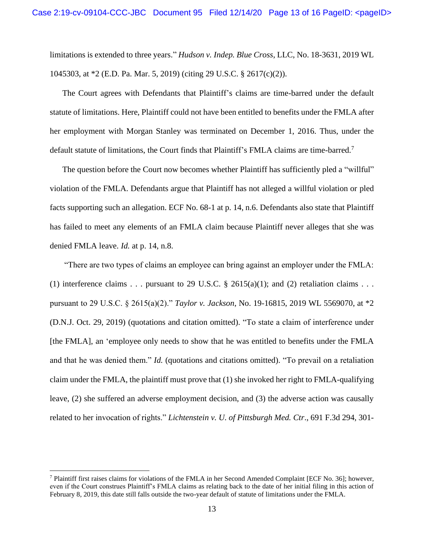limitations is extended to three years." *Hudson v. Indep. Blue Cross*, LLC, No. 18-3631, 2019 WL 1045303, at \*2 (E.D. Pa. Mar. 5, 2019) (citing 29 U.S.C. § 2617(c)(2)).

The Court agrees with Defendants that Plaintiff's claims are time-barred under the default statute of limitations. Here, Plaintiff could not have been entitled to benefits under the FMLA after her employment with Morgan Stanley was terminated on December 1, 2016. Thus, under the default statute of limitations, the Court finds that Plaintiff's FMLA claims are time-barred.<sup>7</sup>

The question before the Court now becomes whether Plaintiff has sufficiently pled a "willful" violation of the FMLA. Defendants argue that Plaintiff has not alleged a willful violation or pled facts supporting such an allegation. ECF No. 68-1 at p. 14, n.6. Defendants also state that Plaintiff has failed to meet any elements of an FMLA claim because Plaintiff never alleges that she was denied FMLA leave. *Id.* at p. 14, n.8.

"There are two types of claims an employee can bring against an employer under the FMLA: (1) interference claims . . . pursuant to 29 U.S.C.  $\S$  2615(a)(1); and (2) retaliation claims . . . pursuant to 29 U.S.C. § 2615(a)(2)." *Taylor v. Jackson*, No. 19-16815, 2019 WL 5569070, at \*2 (D.N.J. Oct. 29, 2019) (quotations and citation omitted). "To state a claim of interference under [the FMLA], an 'employee only needs to show that he was entitled to benefits under the FMLA and that he was denied them." *Id.* (quotations and citations omitted). "To prevail on a retaliation claim under the FMLA, the plaintiff must prove that (1) she invoked her right to FMLA-qualifying leave, (2) she suffered an adverse employment decision, and (3) the adverse action was causally related to her invocation of rights." *Lichtenstein v. U. of Pittsburgh Med. Ctr*., 691 F.3d 294, 301-

<sup>7</sup> Plaintiff first raises claims for violations of the FMLA in her Second Amended Complaint [ECF No. 36]; however, even if the Court construes Plaintiff's FMLA claims as relating back to the date of her initial filing in this action of February 8, 2019, this date still falls outside the two-year default of statute of limitations under the FMLA.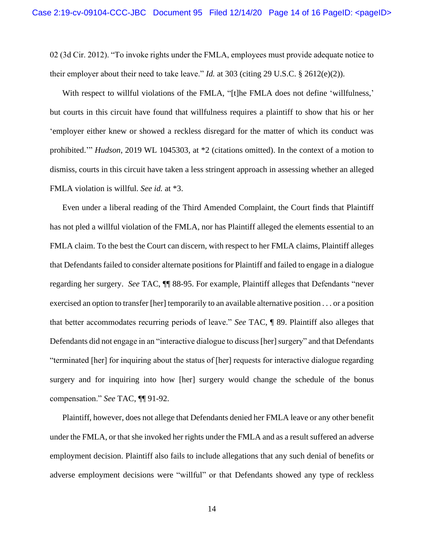02 (3d Cir. 2012). "To invoke rights under the FMLA, employees must provide adequate notice to their employer about their need to take leave." *Id.* at 303 (citing 29 U.S.C. § 2612(e)(2)).

With respect to willful violations of the FMLA, "[t]he FMLA does not define 'willfulness,' but courts in this circuit have found that willfulness requires a plaintiff to show that his or her 'employer either knew or showed a reckless disregard for the matter of which its conduct was prohibited.'" *Hudson*, 2019 WL 1045303, at \*2 (citations omitted). In the context of a motion to dismiss, courts in this circuit have taken a less stringent approach in assessing whether an alleged FMLA violation is willful. *See id.* at \*3.

Even under a liberal reading of the Third Amended Complaint, the Court finds that Plaintiff has not pled a willful violation of the FMLA, nor has Plaintiff alleged the elements essential to an FMLA claim. To the best the Court can discern, with respect to her FMLA claims, Plaintiff alleges that Defendants failed to consider alternate positions for Plaintiff and failed to engage in a dialogue regarding her surgery. *See* TAC, ¶¶ 88-95. For example, Plaintiff alleges that Defendants "never exercised an option to transfer [her] temporarily to an available alternative position . . . or a position that better accommodates recurring periods of leave." *See* TAC, ¶ 89. Plaintiff also alleges that Defendants did not engage in an "interactive dialogue to discuss [her] surgery" and that Defendants "terminated [her] for inquiring about the status of [her] requests for interactive dialogue regarding surgery and for inquiring into how [her] surgery would change the schedule of the bonus compensation." *See* TAC, ¶¶ 91-92.

Plaintiff, however, does not allege that Defendants denied her FMLA leave or any other benefit under the FMLA, or that she invoked her rights under the FMLA and as a result suffered an adverse employment decision. Plaintiff also fails to include allegations that any such denial of benefits or adverse employment decisions were "willful" or that Defendants showed any type of reckless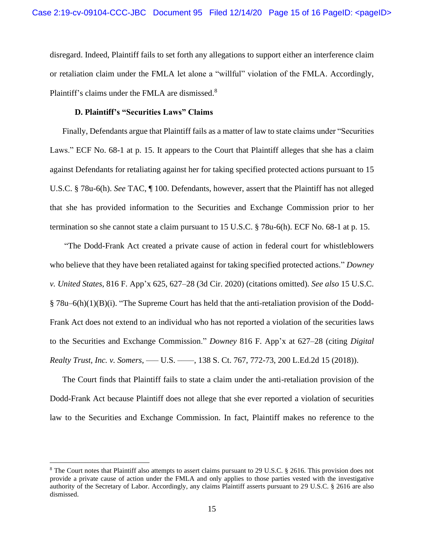disregard. Indeed, Plaintiff fails to set forth any allegations to support either an interference claim or retaliation claim under the FMLA let alone a "willful" violation of the FMLA. Accordingly, Plaintiff's claims under the FMLA are dismissed.<sup>8</sup>

### **D. Plaintiff's "Securities Laws" Claims**

Finally, Defendants argue that Plaintiff fails as a matter of law to state claims under "Securities Laws." ECF No. 68-1 at p. 15. It appears to the Court that Plaintiff alleges that she has a claim against Defendants for retaliating against her for taking specified protected actions pursuant to 15 U.S.C. § 78u-6(h). *See* TAC, ¶ 100. Defendants, however, assert that the Plaintiff has not alleged that she has provided information to the Securities and Exchange Commission prior to her termination so she cannot state a claim pursuant to 15 U.S.C. § 78u-6(h). ECF No. 68-1 at p. 15.

"The Dodd-Frank Act created a private cause of action in federal court for whistleblowers who believe that they have been retaliated against for taking specified protected actions." *Downey v. United States*, 816 F. App'x 625, 627–28 (3d Cir. 2020) (citations omitted). *See also* 15 U.S.C. § 78u–6(h)(1)(B)(i). "The Supreme Court has held that the anti-retaliation provision of the Dodd-Frank Act does not extend to an individual who has not reported a violation of the securities laws to the Securities and Exchange Commission." *Downey* 816 F. App'x at 627–28 (citing *Digital Realty Trust, Inc. v. Somers, -- U.S. -- 138 S. Ct. 767, 772-73, 200 L.Ed.2d 15 (2018)).* 

The Court finds that Plaintiff fails to state a claim under the anti-retaliation provision of the Dodd-Frank Act because Plaintiff does not allege that she ever reported a violation of securities law to the Securities and Exchange Commission. In fact, Plaintiff makes no reference to the

<sup>&</sup>lt;sup>8</sup> The Court notes that Plaintiff also attempts to assert claims pursuant to 29 U.S.C. § 2616. This provision does not provide a private cause of action under the FMLA and only applies to those parties vested with the investigative authority of the Secretary of Labor. Accordingly, any claims Plaintiff asserts pursuant to 29 U.S.C. § 2616 are also dismissed.